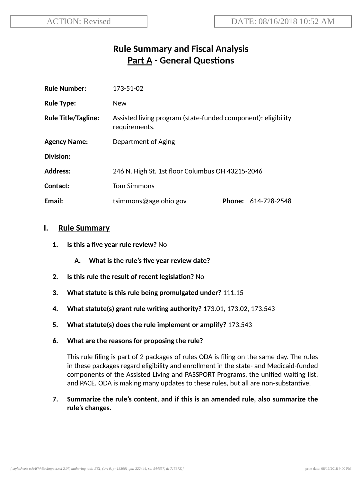# **Rule Summary and Fiscal Analysis Part A - General Questions**

| <b>Rule Number:</b>        | 173-51-02                                                                      |  |                     |
|----------------------------|--------------------------------------------------------------------------------|--|---------------------|
| <b>Rule Type:</b>          | <b>New</b>                                                                     |  |                     |
| <b>Rule Title/Tagline:</b> | Assisted living program (state-funded component): eligibility<br>requirements. |  |                     |
| <b>Agency Name:</b>        | Department of Aging                                                            |  |                     |
| Division:                  |                                                                                |  |                     |
| <b>Address:</b>            | 246 N. High St. 1st floor Columbus OH 43215-2046                               |  |                     |
| Contact:                   | <b>Tom Simmons</b>                                                             |  |                     |
| Email:                     | tsimmons@age.ohio.gov                                                          |  | Phone: 614-728-2548 |

#### **I. Rule Summary**

- **1. Is this a five year rule review?** No
	- **A. What is the rule's five year review date?**
- **2.** Is this rule the result of recent legislation? No
- **3. What statute is this rule being promulgated under?** 111.15
- **4. What statute(s) grant rule wring authority?** 173.01, 173.02, 173.543
- **5. What statute(s) does the rule implement or amplify?** 173.543
- **6. What are the reasons for proposing the rule?**

This rule filing is part of 2 packages of rules ODA is filing on the same day. The rules in these packages regard eligibility and enrollment in the state- and Medicaid-funded components of the Assisted Living and PASSPORT Programs, the unified waiting list, and PACE. ODA is making many updates to these rules, but all are non-substantive.

**7. Summarize the rule's content, and if this is an amended rule, also summarize the rule's changes.**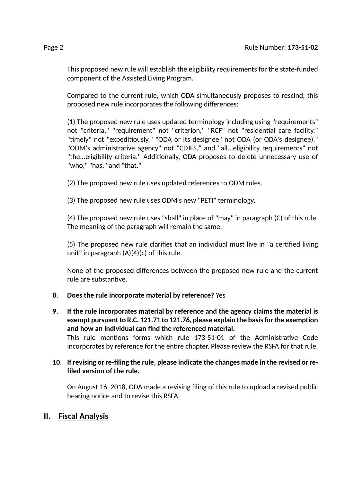This proposed new rule will establish the eligibility requirements for the state-funded component of the Assisted Living Program.

Compared to the current rule, which ODA simultaneously proposes to rescind, this proposed new rule incorporates the following differences:

(1) The proposed new rule uses updated terminology including using "requirements" not "criteria," "requirement" not "criterion," "RCF" not "residential care facility," "timely" not "expeditiously," "ODA or its designee" not ODA (or ODA's designee)," "ODM's administrative agency" not "CDJFS," and "all...eligibility requirements" not "the...eligibility criteria." Additionally, ODA proposes to delete unnecessary use of "who," "has," and "that."

(2) The proposed new rule uses updated references to ODM rules.

(3) The proposed new rule uses ODM's new "PETI" terminology.

(4) The proposed new rule uses "shall" in place of "may" in paragraph (C) of this rule. The meaning of the paragraph will remain the same.

(5) The proposed new rule clarifies that an individual must live in "a cerfied living unit" in paragraph (A)(4)(c) of this rule.

None of the proposed differences between the proposed new rule and the current rule are substantive.

### **8. Does the rule incorporate material by reference?** Yes

**9. If the rule incorporates material by reference and the agency claims the material is exempt** pursuant to R.C. 121.71 to 121.76, please explain the basis for the exemption **and how an individual can find the referenced material.** This rule mentions forms which rule 173-51-01 of the Administrative Code incorporates by reference for the entire chapter. Please review the RSFA for that rule.

#### **10. If revising or re-filing the rule, please indicate the changes made in the revised or refiled version of the rule.**

On August 16, 2018, ODA made a revising filing of this rule to upload a revised public hearing notice and to revise this RSFA.

## **II. Fiscal Analysis**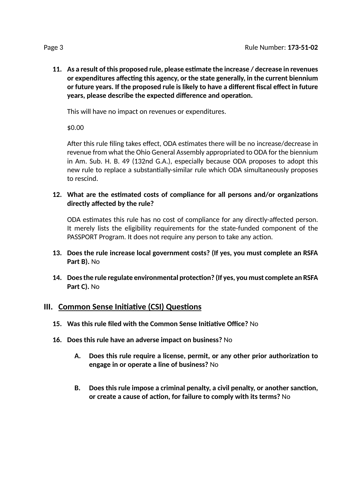**11. As a result of this proposed rule, please esmate the increase / decrease in revenues** *<u>or* **expenditures** affecting this agency, or the state generally, in the current biennium</u> **or future years. If the proposed rule is likely to have a different fiscal effect in future years, please describe the expected difference and operation.** 

This will have no impact on revenues or expenditures.

\$0.00

After this rule filing takes effect, ODA estimates there will be no increase/decrease in revenue from what the Ohio General Assembly appropriated to ODA for the biennium in Am. Sub. H. B. 49 (132nd G.A.), especially because ODA proposes to adopt this new rule to replace a substantially-similar rule which ODA simultaneously proposes to rescind.

**12. What are the esmated costs of compliance for all persons and/or organizaons directly affected by the rule?**

ODA estimates this rule has no cost of compliance for any directly-affected person. It merely lists the eligibility requirements for the state-funded component of the PASSPORT Program. It does not require any person to take any action.

- **13. Does the rule increase local government costs? (If yes, you must complete an RSFA Part B).** No
- **14. Doesthe rule regulate environmental protecon? (If yes, you must complete an RSFA Part C).** No

#### **III.** Common Sense Initiative (CSI) Questions

- **15. Was this rule filed with the Common Sense Iniave Office?** No
- **16. Does this rule have an adverse impact on business?** No
	- **A. Does this rule require a license, permit, or any other prior authorizaon to engage in or operate a line of business?** No
	- **B. Does this rule impose a criminal penalty, a civil penalty, or another sancon, or create a cause of acon, for failure to comply with its terms?** No